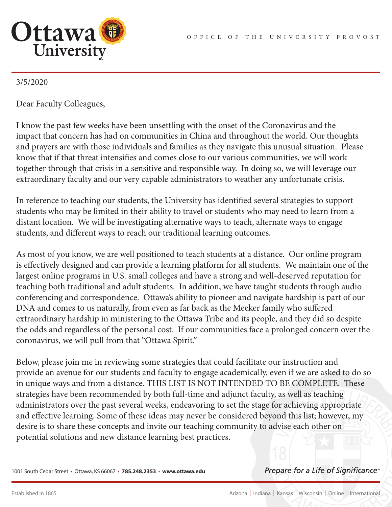

## 3/5/2020

Dear Faculty Colleagues,

I know the past few weeks have been unsettling with the onset of the Coronavirus and the impact that concern has had on communities in China and throughout the world. Our thoughts and prayers are with those individuals and families as they navigate this unusual situation. Please know that if that threat intensifies and comes close to our various communities, we will work together through that crisis in a sensitive and responsible way. In doing so, we will leverage our extraordinary faculty and our very capable administrators to weather any unfortunate crisis.

In reference to teaching our students, the University has identified several strategies to support students who may be limited in their ability to travel or students who may need to learn from a distant location. We will be investigating alternative ways to teach, alternate ways to engage students, and different ways to reach our traditional learning outcomes.

As most of you know, we are well positioned to teach students at a distance. Our online program is effectively designed and can provide a learning platform for all students. We maintain one of the largest online programs in U.S. small colleges and have a strong and well-deserved reputation for teaching both traditional and adult students. In addition, we have taught students through audio conferencing and correspondence. Ottawa's ability to pioneer and navigate hardship is part of our DNA and comes to us naturally, from even as far back as the Meeker family who suffered extraordinary hardship in ministering to the Ottawa Tribe and its people, and they did so despite the odds and regardless of the personal cost. If our communities face a prolonged concern over the coronavirus, we will pull from that "Ottawa Spirit."

Below, please join me in reviewing some strategies that could facilitate our instruction and provide an avenue for our students and faculty to engage academically, even if we are asked to do so in unique ways and from a distance. THIS LIST IS NOT INTENDED TO BE COMPLETE. These strategies have been recommended by both full-time and adjunct faculty, as well as teaching administrators over the past several weeks, endeavoring to set the stage for achieving appropriate and effective learning. Some of these ideas may never be considered beyond this list; however, my desire is to share these concepts and invite our teaching community to advise each other on potential solutions and new distance learning best practices.

1001 South Cedar Street • Ottawa, KS 66067 • **785.248.2353** • **www.ottawa.edu**

Prepare for a Life of Significance<sup>®</sup>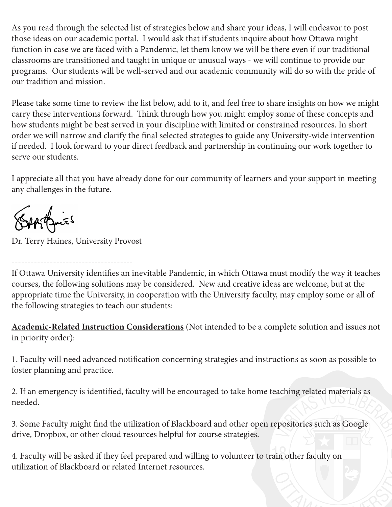As you read through the selected list of strategies below and share your ideas, I will endeavor to post those ideas on our academic portal. I would ask that if students inquire about how Ottawa might function in case we are faced with a Pandemic, let them know we will be there even if our traditional classrooms are transitioned and taught in unique or unusual ways - we will continue to provide our programs. Our students will be well-served and our academic community will do so with the pride of our tradition and mission.

Please take some time to review the list below, add to it, and feel free to share insights on how we might carry these interventions forward. Think through how you might employ some of these concepts and how students might be best served in your discipline with limited or constrained resources. In short order we will narrow and clarify the final selected strategies to guide any University-wide intervention if needed. I look forward to your direct feedback and partnership in continuing our work together to serve our students.

I appreciate all that you have already done for our community of learners and your support in meeting any challenges in the future.

Septemies

Dr. Terry Haines, University Provost

-------------------------------------- If Ottawa University identifies an inevitable Pandemic, in which Ottawa must modify the way it teaches courses, the following solutions may be considered. New and creative ideas are welcome, but at the appropriate time the University, in cooperation with the University faculty, may employ some or all of the following strategies to teach our students:

**Academic-Related Instruction Considerations** (Not intended to be a complete solution and issues not in priority order):

1. Faculty will need advanced notification concerning strategies and instructions as soon as possible to foster planning and practice.

2. If an emergency is identified, faculty will be encouraged to take home teaching related materials as needed.

3. Some Faculty might find the utilization of Blackboard and other open repositories such as Google drive, Dropbox, or other cloud resources helpful for course strategies.

4. Faculty will be asked if they feel prepared and willing to volunteer to train other faculty on utilization of Blackboard or related Internet resources.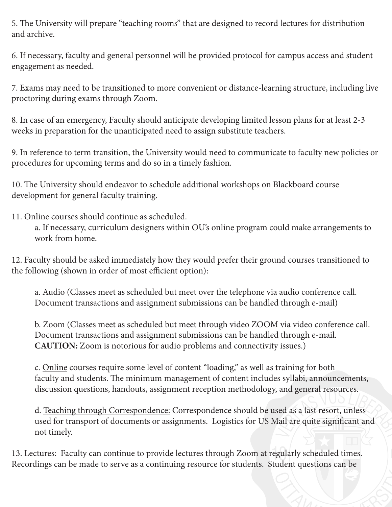5. The University will prepare "teaching rooms" that are designed to record lectures for distribution and archive.

6. If necessary, faculty and general personnel will be provided protocol for campus access and student engagement as needed.

7. Exams may need to be transitioned to more convenient or distance-learning structure, including live proctoring during exams through Zoom.

8. In case of an emergency, Faculty should anticipate developing limited lesson plans for at least 2-3 weeks in preparation for the unanticipated need to assign substitute teachers.

9. In reference to term transition, the University would need to communicate to faculty new policies or procedures for upcoming terms and do so in a timely fashion.

10. The University should endeavor to schedule additional workshops on Blackboard course development for general faculty training.

11. Online courses should continue as scheduled.

a. If necessary, curriculum designers within OU's online program could make arrangements to work from home.

12. Faculty should be asked immediately how they would prefer their ground courses transitioned to the following (shown in order of most efficient option):

a. Audio (Classes meet as scheduled but meet over the telephone via audio conference call. Document transactions and assignment submissions can be handled through e-mail)

b. Zoom (Classes meet as scheduled but meet through video ZOOM via video conference call. Document transactions and assignment submissions can be handled through e-mail. **CAUTION:** Zoom is notorious for audio problems and connectivity issues.)

c. Online courses require some level of content "loading," as well as training for both faculty and students. The minimum management of content includes syllabi, announcements, discussion questions, handouts, assignment reception methodology, and general resources.

d. Teaching through Correspondence: Correspondence should be used as a last resort, unless used for transport of documents or assignments. Logistics for US Mail are quite significant and not timely.

13. Lectures: Faculty can continue to provide lectures through Zoom at regularly scheduled times. Recordings can be made to serve as a continuing resource for students. Student questions can be